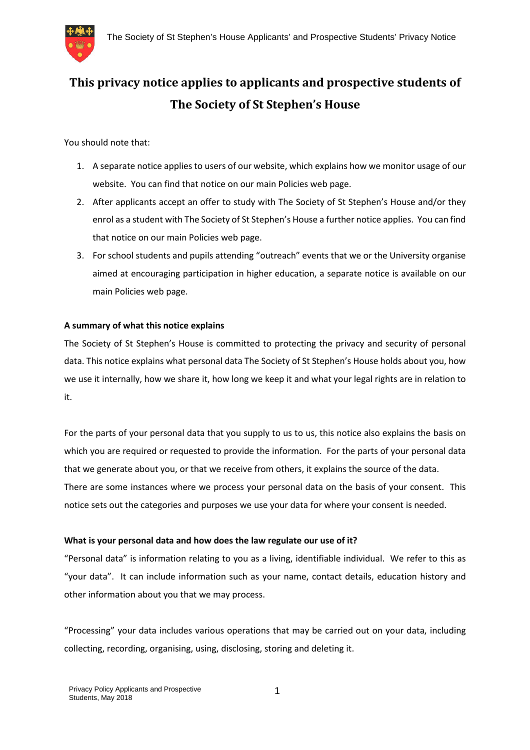

# **This privacy notice applies to applicants and prospective students of The Society of St Stephen's House**

You should note that:

- 1. A separate notice applies to users of our website, which explains how we monitor usage of our website. You can find that notice on our main Policies web page.
- 2. After applicants accept an offer to study with The Society of St Stephen's House and/or they enrol as a student with The Society of St Stephen's House a further notice applies. You can find that notice on our main Policies web page.
- 3. For school students and pupils attending "outreach" events that we or the University organise aimed at encouraging participation in higher education, a separate notice is available on our main Policies web page.

## **A summary of what this notice explains**

The Society of St Stephen's House is committed to protecting the privacy and security of personal data. This notice explains what personal data The Society of St Stephen's House holds about you, how we use it internally, how we share it, how long we keep it and what your legal rights are in relation to it.

For the parts of your personal data that you supply to us to us, this notice also explains the basis on which you are required or requested to provide the information. For the parts of your personal data that we generate about you, or that we receive from others, it explains the source of the data. There are some instances where we process your personal data on the basis of your consent. This notice sets out the categories and purposes we use your data for where your consent is needed.

## **What is your personal data and how does the law regulate our use of it?**

"Personal data" is information relating to you as a living, identifiable individual. We refer to this as "your data". It can include information such as your name, contact details, education history and other information about you that we may process.

"Processing" your data includes various operations that may be carried out on your data, including collecting, recording, organising, using, disclosing, storing and deleting it.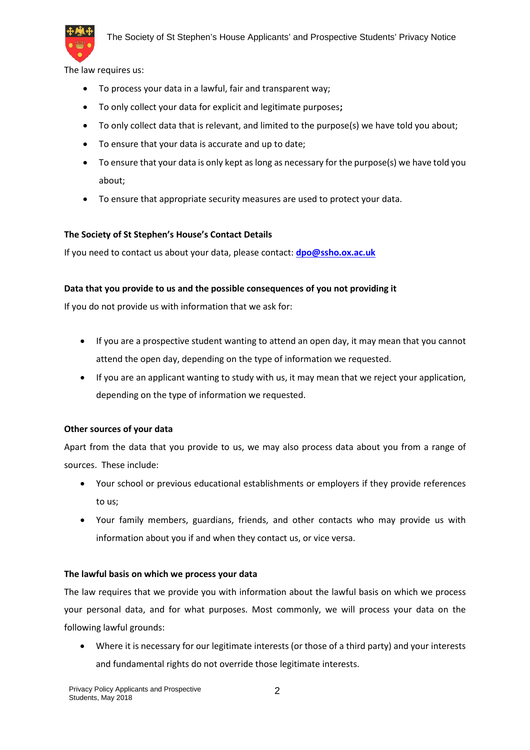

The law requires us:

- To process your data in a lawful, fair and transparent way;
- To only collect your data for explicit and legitimate purposes**;**
- To only collect data that is relevant, and limited to the purpose(s) we have told you about;
- To ensure that your data is accurate and up to date;
- To ensure that your data is only kept as long as necessary for the purpose(s) we have told you about;
- To ensure that appropriate security measures are used to protect your data.

#### **The Society of St Stephen's House's Contact Details**

If you need to contact us about your data, please contact: **dpo@ssho.ox.ac.uk**

## **Data that you provide to us and the possible consequences of you not providing it**

If you do not provide us with information that we ask for:

- If you are a prospective student wanting to attend an open day, it may mean that you cannot attend the open day, depending on the type of information we requested.
- If you are an applicant wanting to study with us, it may mean that we reject your application, depending on the type of information we requested.

## **Other sources of your data**

Apart from the data that you provide to us, we may also process data about you from a range of sources. These include:

- Your school or previous educational establishments or employers if they provide references to us;
- Your family members, guardians, friends, and other contacts who may provide us with information about you if and when they contact us, or vice versa.

## **The lawful basis on which we process your data**

The law requires that we provide you with information about the lawful basis on which we process your personal data, and for what purposes. Most commonly, we will process your data on the following lawful grounds:

 Where it is necessary for our legitimate interests (or those of a third party) and your interests and fundamental rights do not override those legitimate interests.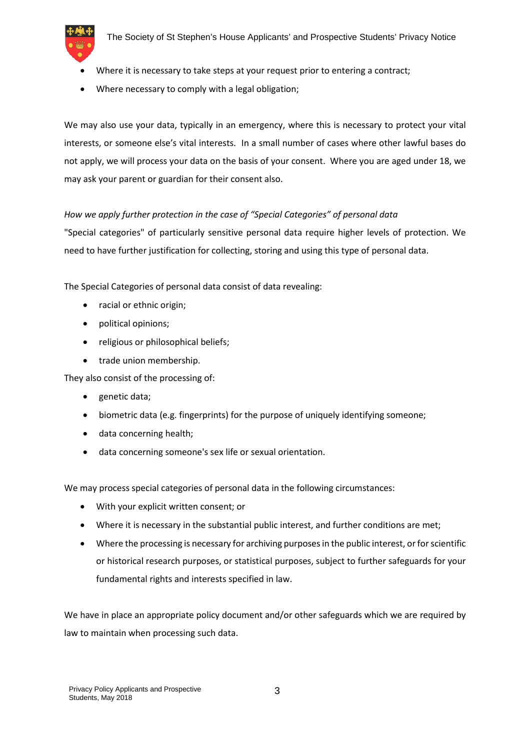

- Where it is necessary to take steps at your request prior to entering a contract;
- Where necessary to comply with a legal obligation;

We may also use your data, typically in an emergency, where this is necessary to protect your vital interests, or someone else's vital interests. In a small number of cases where other lawful bases do not apply, we will process your data on the basis of your consent. Where you are aged under 18, we may ask your parent or guardian for their consent also.

# *How we apply further protection in the case of "Special Categories" of personal data*

"Special categories" of particularly sensitive personal data require higher levels of protection. We need to have further justification for collecting, storing and using this type of personal data.

The Special Categories of personal data consist of data revealing:

- racial or ethnic origin;
- political opinions;
- religious or philosophical beliefs;
- trade union membership.

They also consist of the processing of:

- genetic data;
- biometric data (e.g. fingerprints) for the purpose of uniquely identifying someone;
- data concerning health;
- data concerning someone's sex life or sexual orientation.

We may process special categories of personal data in the following circumstances:

- With your explicit written consent; or
- Where it is necessary in the substantial public interest, and further conditions are met;
- Where the processing is necessary for archiving purposes in the public interest, or for scientific or historical research purposes, or statistical purposes, subject to further safeguards for your fundamental rights and interests specified in law.

We have in place an appropriate policy document and/or other safeguards which we are required by law to maintain when processing such data.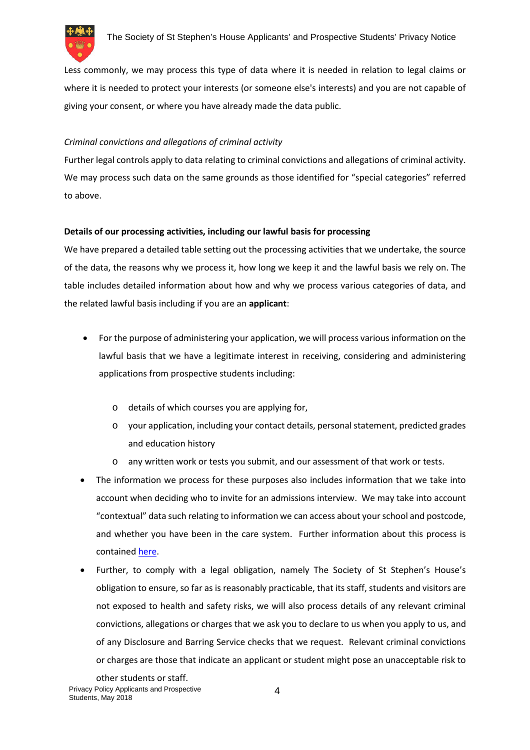

Less commonly, we may process this type of data where it is needed in relation to legal claims or where it is needed to protect your interests (or someone else's interests) and you are not capable of giving your consent, or where you have already made the data public.

# *Criminal convictions and allegations of criminal activity*

Further legal controls apply to data relating to criminal convictions and allegations of criminal activity. We may process such data on the same grounds as those identified for "special categories" referred to above.

# **Details of our processing activities, including our lawful basis for processing**

We have prepared a detailed table setting out the processing activities that we undertake, the source of the data, the reasons why we process it, how long we keep it and the lawful basis we rely on. The table includes detailed information about how and why we process various categories of data, and the related lawful basis including if you are an **applicant**:

- For the purpose of administering your application, we will process various information on the lawful basis that we have a legitimate interest in receiving, considering and administering applications from prospective students including:
	- o details of which courses you are applying for,
	- o your application, including your contact details, personal statement, predicted grades and education history
	- o any written work or tests you submit, and our assessment of that work or tests.
- The information we process for these purposes also includes information that we take into account when deciding who to invite for an admissions interview. We may take into account "contextual" data such relating to information we can access about your school and postcode, and whether you have been in the care system. Further information about this process is contained here.
- Further, to comply with a legal obligation, namely The Society of St Stephen's House's obligation to ensure, so far as is reasonably practicable, that its staff, students and visitors are not exposed to health and safety risks, we will also process details of any relevant criminal convictions, allegations or charges that we ask you to declare to us when you apply to us, and of any Disclosure and Barring Service checks that we request. Relevant criminal convictions or charges are those that indicate an applicant or student might pose an unacceptable risk to

Privacy Policy Applicants and Prospective Students, May 2018 other students or staff.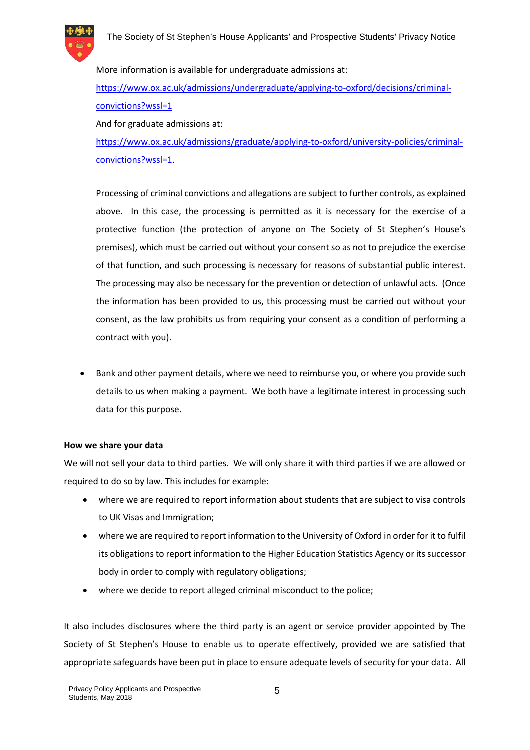

More information is available for undergraduate admissions at: https://www.ox.ac.uk/admissions/undergraduate/applying-to-oxford/decisions/criminalconvictions?wssl=1

And for graduate admissions at:

https://www.ox.ac.uk/admissions/graduate/applying-to-oxford/university-policies/criminalconvictions?wssl=1.

Processing of criminal convictions and allegations are subject to further controls, as explained above. In this case, the processing is permitted as it is necessary for the exercise of a protective function (the protection of anyone on The Society of St Stephen's House's premises), which must be carried out without your consent so as not to prejudice the exercise of that function, and such processing is necessary for reasons of substantial public interest. The processing may also be necessary for the prevention or detection of unlawful acts. (Once the information has been provided to us, this processing must be carried out without your consent, as the law prohibits us from requiring your consent as a condition of performing a contract with you).

 Bank and other payment details, where we need to reimburse you, or where you provide such details to us when making a payment. We both have a legitimate interest in processing such data for this purpose.

# **How we share your data**

We will not sell your data to third parties. We will only share it with third parties if we are allowed or required to do so by law. This includes for example:

- where we are required to report information about students that are subject to visa controls to UK Visas and Immigration;
- where we are required to report information to the University of Oxford in order for it to fulfil its obligations to report information to the Higher Education Statistics Agency or its successor body in order to comply with regulatory obligations;
- where we decide to report alleged criminal misconduct to the police;

It also includes disclosures where the third party is an agent or service provider appointed by The Society of St Stephen's House to enable us to operate effectively, provided we are satisfied that appropriate safeguards have been put in place to ensure adequate levels of security for your data. All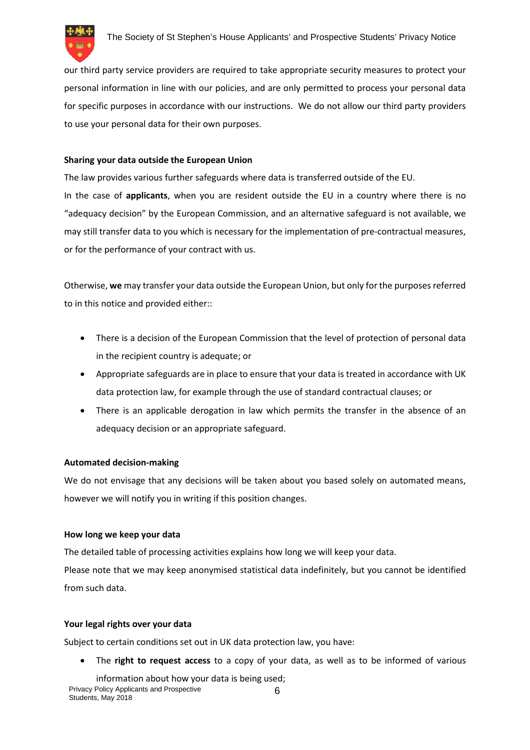

our third party service providers are required to take appropriate security measures to protect your personal information in line with our policies, and are only permitted to process your personal data for specific purposes in accordance with our instructions. We do not allow our third party providers to use your personal data for their own purposes.

# **Sharing your data outside the European Union**

The law provides various further safeguards where data is transferred outside of the EU. In the case of **applicants**, when you are resident outside the EU in a country where there is no "adequacy decision" by the European Commission, and an alternative safeguard is not available, we may still transfer data to you which is necessary for the implementation of pre-contractual measures, or for the performance of your contract with us.

Otherwise, **we** may transfer your data outside the European Union, but only for the purposes referred to in this notice and provided either::

- There is a decision of the European Commission that the level of protection of personal data in the recipient country is adequate; or
- Appropriate safeguards are in place to ensure that your data is treated in accordance with UK data protection law, for example through the use of standard contractual clauses; or
- There is an applicable derogation in law which permits the transfer in the absence of an adequacy decision or an appropriate safeguard.

# **Automated decision-making**

We do not envisage that any decisions will be taken about you based solely on automated means, however we will notify you in writing if this position changes.

# **How long we keep your data**

The detailed table of processing activities explains how long we will keep your data. Please note that we may keep anonymised statistical data indefinitely, but you cannot be identified from such data.

# **Your legal rights over your data**

Subject to certain conditions set out in UK data protection law, you have:

The **right to request access** to a copy of your data, as well as to be informed of various

Privacy Policy Applicants and Prospective Students, May 2018 6 information about how your data is being used;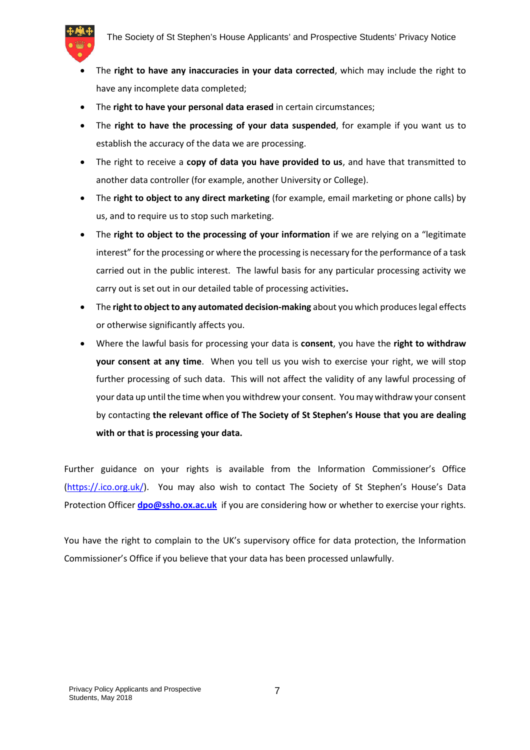

- The **right to have any inaccuracies in your data corrected**, which may include the right to have any incomplete data completed;
- The **right to have your personal data erased** in certain circumstances;
- The **right to have the processing of your data suspended**, for example if you want us to establish the accuracy of the data we are processing.
- The right to receive a **copy of data you have provided to us**, and have that transmitted to another data controller (for example, another University or College).
- The **right to object to any direct marketing** (for example, email marketing or phone calls) by us, and to require us to stop such marketing.
- The **right to object to the processing of your information** if we are relying on a "legitimate interest" for the processing or where the processing is necessary for the performance of a task carried out in the public interest. The lawful basis for any particular processing activity we carry out is set out in our detailed table of processing activities**.**
- The **right to object to any automated decision-making** about you which produces legal effects or otherwise significantly affects you.
- Where the lawful basis for processing your data is **consent**, you have the **right to withdraw your consent at any time**. When you tell us you wish to exercise your right, we will stop further processing of such data. This will not affect the validity of any lawful processing of your data up until the time when you withdrew your consent. You may withdraw your consent by contacting **the relevant office of The Society of St Stephen's House that you are dealing with or that is processing your data.**

Further guidance on your rights is available from the Information Commissioner's Office (https://.ico.org.uk/). You may also wish to contact The Society of St Stephen's House's Data Protection Officer **dpo@ssho.ox.ac.uk** if you are considering how or whether to exercise your rights.

You have the right to complain to the UK's supervisory office for data protection, the Information Commissioner's Office if you believe that your data has been processed unlawfully.